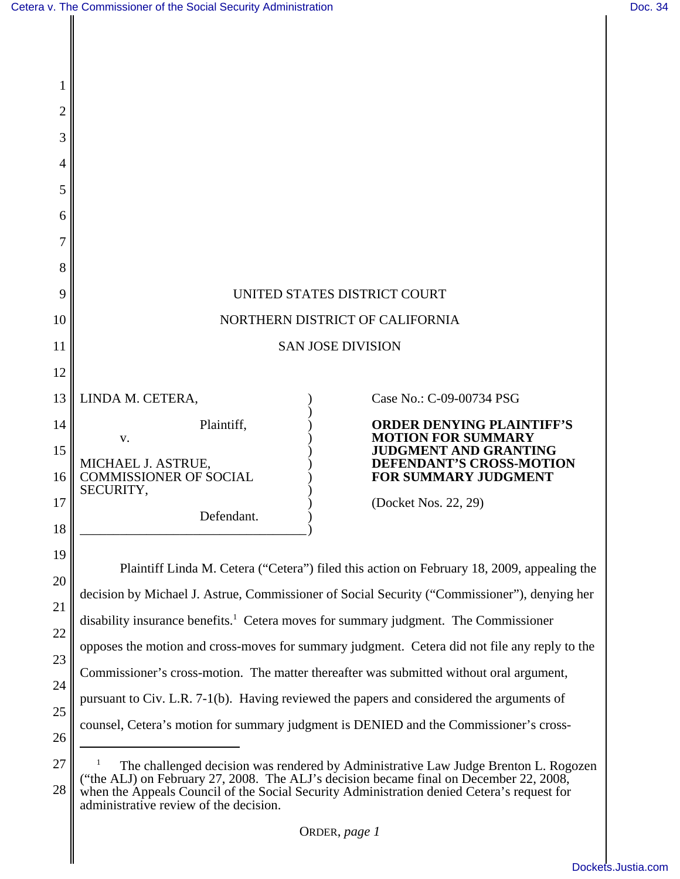| 1        |                                                                                                 |
|----------|-------------------------------------------------------------------------------------------------|
| 2        |                                                                                                 |
| 3        |                                                                                                 |
| 4        |                                                                                                 |
| 5        |                                                                                                 |
| 6        |                                                                                                 |
| 7        |                                                                                                 |
| 8        |                                                                                                 |
| 9        | UNITED STATES DISTRICT COURT                                                                    |
| 10       | NORTHERN DISTRICT OF CALIFORNIA                                                                 |
| 11       | <b>SAN JOSE DIVISION</b>                                                                        |
| 12       |                                                                                                 |
| 13       | LINDA M. CETERA,<br>Case No.: C-09-00734 PSG                                                    |
| 14       | Plaintiff,<br><b>ORDER DENYING PLAINTIFF'S</b><br><b>MOTION FOR SUMMARY</b><br>V.               |
| 15       | <b>JUDGMENT AND GRANTING</b><br>DEFENDANT'S CROSS-MOTION<br>MICHAEL J. ASTRUE,                  |
| 16       | <b>COMMISSIONER OF SOCIAL</b><br><b>FOR SUMMARY JUDGMENT</b><br>SECURITY,                       |
| 17       | (Docket Nos. 22, 29)<br>Defendant.                                                              |
| 18<br>19 |                                                                                                 |
| 20       | Plaintiff Linda M. Cetera ("Cetera") filed this action on February 18, 2009, appealing the      |
| 21       | decision by Michael J. Astrue, Commissioner of Social Security ("Commissioner"), denying her    |
| 22       | disability insurance benefits. <sup>1</sup> Cetera moves for summary judgment. The Commissioner |
| 23       | opposes the motion and cross-moves for summary judgment. Cetera did not file any reply to the   |
| 24       | Commissioner's cross-motion. The matter thereafter was submitted without oral argument,         |
| 25       | pursuant to Civ. L.R. 7-1(b). Having reviewed the papers and considered the arguments of        |
|          | counsel, Cetera's motion for summary judgment is DENIED and the Commissioner's cross-           |

25 26 27

<sup>28</sup> <sup>1</sup> The challenged decision was rendered by Administrative Law Judge Brenton L. Rogozen ("the ALJ) on February 27, 2008. The ALJ's decision became final on December 22, 2008, when the Appeals Council of the Social Security Administration denied Cetera's request for administrative review of the decision.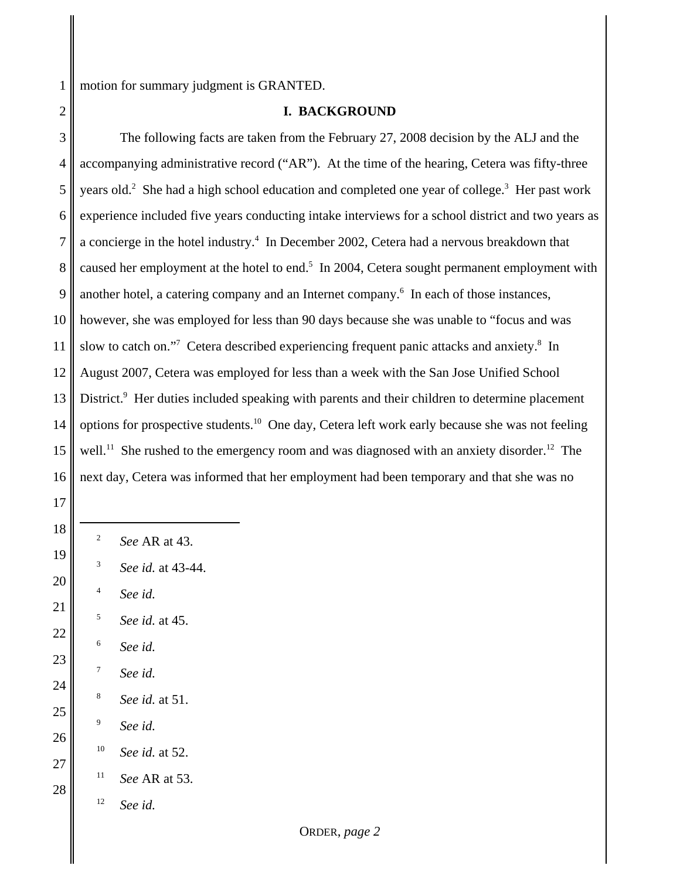motion for summary judgment is GRANTED.

# **I. BACKGROUND**

 The following facts are taken from the February 27, 2008 decision by the ALJ and the accompanying administrative record ("AR"). At the time of the hearing, Cetera was fifty-three years old.<sup>2</sup> She had a high school education and completed one year of college.<sup>3</sup> Her past work experience included five years conducting intake interviews for a school district and two years as a concierge in the hotel industry.<sup>4</sup> In December 2002, Cetera had a nervous breakdown that caused her employment at the hotel to end.<sup>5</sup> In 2004, Cetera sought permanent employment with another hotel, a catering company and an Internet company.<sup>6</sup> In each of those instances, however, she was employed for less than 90 days because she was unable to "focus and was slow to catch on."<sup>7</sup> Cetera described experiencing frequent panic attacks and anxiety.<sup>8</sup> In August 2007, Cetera was employed for less than a week with the San Jose Unified School District.<sup>9</sup> Her duties included speaking with parents and their children to determine placement options for prospective students.10 One day, Cetera left work early because she was not feeling well.<sup>11</sup> She rushed to the emergency room and was diagnosed with an anxiety disorder.<sup>12</sup> The next day, Cetera was informed that her employment had been temporary and that she was no

- *See* AR at 43.
- *See id.* at 43-44.
- *See id.*
- *See id.* at 45.
- *See id.*
- *See id.*
- *See id.* at 51.
- *See id.*
- *See id.* at 52.
- *See* AR at 53.
- *See id.*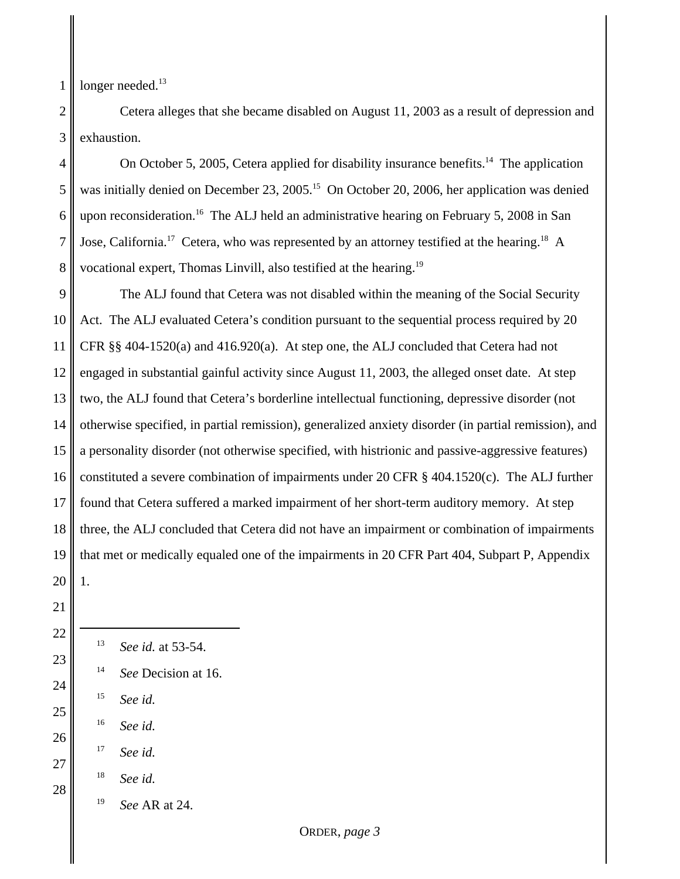longer needed.<sup>13</sup>

 Cetera alleges that she became disabled on August 11, 2003 as a result of depression and exhaustion.

 On October 5, 2005, Cetera applied for disability insurance benefits.<sup>14</sup> The application was initially denied on December 23, 2005.<sup>15</sup> On October 20, 2006, her application was denied upon reconsideration.<sup>16</sup> The ALJ held an administrative hearing on February 5, 2008 in San Jose, California.<sup>17</sup> Cetera, who was represented by an attorney testified at the hearing.<sup>18</sup> A vocational expert, Thomas Linvill, also testified at the hearing.19

 The ALJ found that Cetera was not disabled within the meaning of the Social Security Act. The ALJ evaluated Cetera's condition pursuant to the sequential process required by 20 CFR §§ 404-1520(a) and 416.920(a). At step one, the ALJ concluded that Cetera had not engaged in substantial gainful activity since August 11, 2003, the alleged onset date. At step two, the ALJ found that Cetera's borderline intellectual functioning, depressive disorder (not otherwise specified, in partial remission), generalized anxiety disorder (in partial remission), and a personality disorder (not otherwise specified, with histrionic and passive-aggressive features) constituted a severe combination of impairments under 20 CFR  $\S$  404.1520(c). The ALJ further found that Cetera suffered a marked impairment of her short-term auditory memory. At step three, the ALJ concluded that Cetera did not have an impairment or combination of impairments that met or medically equaled one of the impairments in 20 CFR Part 404, Subpart P, Appendix 1.

- *See id.* at 53-54.
- *See* Decision at 16.
- *See id.*
- *See id.*
- *See id.*
- *See id.*
	- *See* AR at 24.

ORDER, *page 3*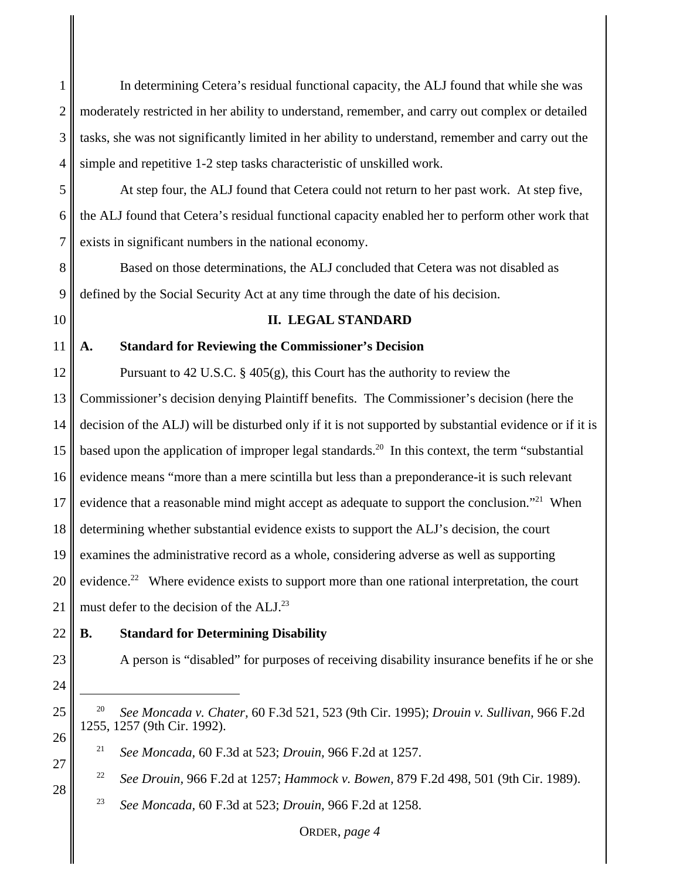1 2 3 4 In determining Cetera's residual functional capacity, the ALJ found that while she was moderately restricted in her ability to understand, remember, and carry out complex or detailed tasks, she was not significantly limited in her ability to understand, remember and carry out the simple and repetitive 1-2 step tasks characteristic of unskilled work.

5 6 7 At step four, the ALJ found that Cetera could not return to her past work. At step five, the ALJ found that Cetera's residual functional capacity enabled her to perform other work that exists in significant numbers in the national economy.

8 9 Based on those determinations, the ALJ concluded that Cetera was not disabled as defined by the Social Security Act at any time through the date of his decision.

# 10

11

# **II. LEGAL STANDARD**

**A. Standard for Reviewing the Commissioner's Decision**

12 13 14 15 16 17 18 19 20 21 Pursuant to 42 U.S.C.  $\S$  405(g), this Court has the authority to review the Commissioner's decision denying Plaintiff benefits. The Commissioner's decision (here the decision of the ALJ) will be disturbed only if it is not supported by substantial evidence or if it is based upon the application of improper legal standards.<sup>20</sup> In this context, the term "substantial" evidence means "more than a mere scintilla but less than a preponderance-it is such relevant evidence that a reasonable mind might accept as adequate to support the conclusion."<sup>21</sup> When determining whether substantial evidence exists to support the ALJ's decision, the court examines the administrative record as a whole, considering adverse as well as supporting evidence.<sup>22</sup> Where evidence exists to support more than one rational interpretation, the court must defer to the decision of the ALJ.<sup>23</sup>

22 23

24

25

26

27

28

# **B. Standard for Determining Disability**

A person is "disabled" for purposes of receiving disability insurance benefits if he or she

- 22 *See Drouin,* 966 F.2d at 1257; *Hammock v. Bowen,* 879 F.2d 498, 501 (9th Cir. 1989).
- 23 *See Moncada,* 60 F.3d at 523; *Drouin,* 966 F.2d at 1258.

 <sup>20</sup> *See Moncada v. Chater,* 60 F.3d 521, 523 (9th Cir. 1995); *Drouin v. Sullivan,* 966 F.2d 1255, 1257 (9th Cir. 1992).

 <sup>21</sup> *See Moncada,* 60 F.3d at 523; *Drouin,* 966 F.2d at 1257.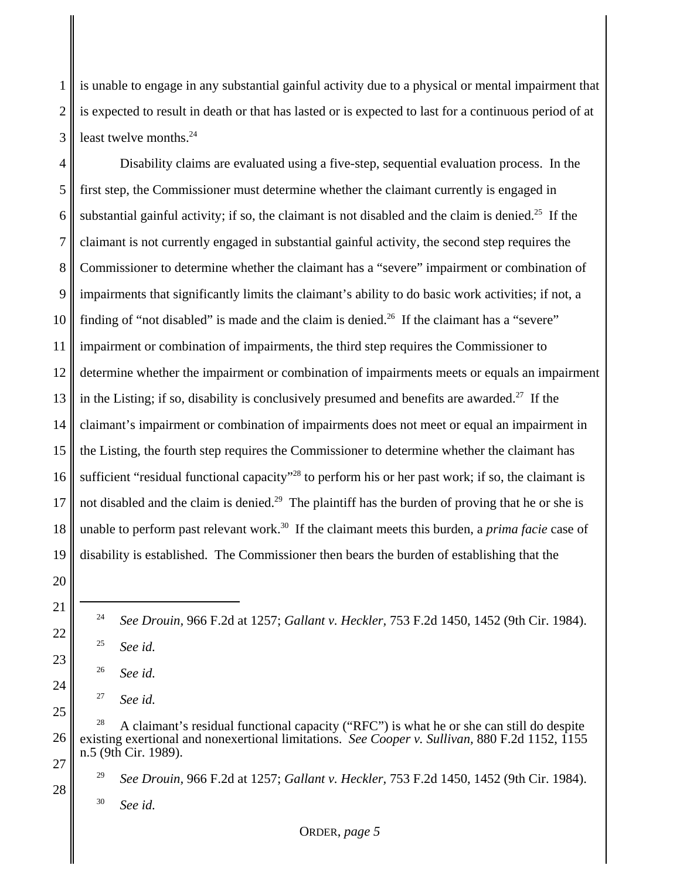1 2 3 is unable to engage in any substantial gainful activity due to a physical or mental impairment that is expected to result in death or that has lasted or is expected to last for a continuous period of at least twelve months.24

4 5 6 7 8 9 10 11 12 13 14 15 16 17 18 19 Disability claims are evaluated using a five-step, sequential evaluation process. In the first step, the Commissioner must determine whether the claimant currently is engaged in substantial gainful activity; if so, the claimant is not disabled and the claim is denied.25If the claimant is not currently engaged in substantial gainful activity, the second step requires the Commissioner to determine whether the claimant has a "severe" impairment or combination of impairments that significantly limits the claimant's ability to do basic work activities; if not, a finding of "not disabled" is made and the claim is denied.<sup>26</sup> If the claimant has a "severe" impairment or combination of impairments, the third step requires the Commissioner to determine whether the impairment or combination of impairments meets or equals an impairment in the Listing; if so, disability is conclusively presumed and benefits are awarded.<sup>27</sup> If the claimant's impairment or combination of impairments does not meet or equal an impairment in the Listing, the fourth step requires the Commissioner to determine whether the claimant has sufficient "residual functional capacity"<sup>28</sup> to perform his or her past work; if so, the claimant is not disabled and the claim is denied.<sup>29</sup> The plaintiff has the burden of proving that he or she is unable to perform past relevant work.30 If the claimant meets this burden, a *prima facie* case of disability is established. The Commissioner then bears the burden of establishing that the

20

21

22

23

24

25

27

28

26 *See id.*

27 *See id.*

 29 *See Drouin,* 966 F.2d at 1257; *Gallant v. Heckler,* 753 F.2d 1450, 1452 (9th Cir. 1984). 30 *See id.*

 <sup>24</sup> *See Drouin,* 966 F.2d at 1257; *Gallant v. Heckler,* 753 F.2d 1450, 1452 (9th Cir. 1984).

 <sup>25</sup> *See id.*

<sup>26</sup> <sup>28</sup> A claimant's residual functional capacity ("RFC") is what he or she can still do despite existing exertional and nonexertional limitations. *See Cooper v. Sullivan,* 880 F.2d 1152, 1155 n.5 (9th Cir. 1989).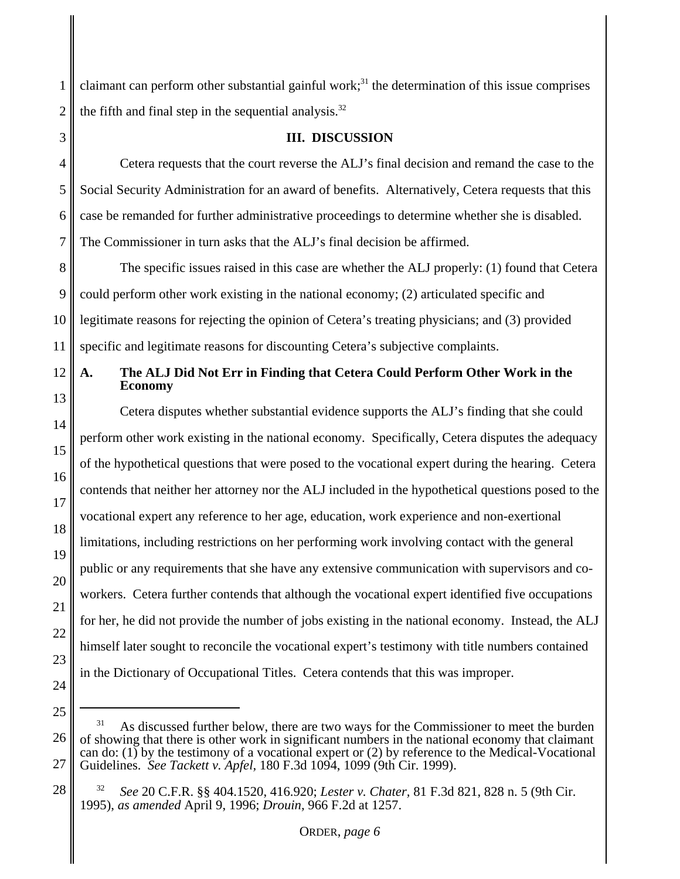1 2 claimant can perform other substantial gainful work;<sup>31</sup> the determination of this issue comprises the fifth and final step in the sequential analysis. $32$ 

3

14

15

16

17

18

19

20

21

22

23

24

25

28

### **III. DISCUSSION**

4 5 6 7 Cetera requests that the court reverse the ALJ's final decision and remand the case to the Social Security Administration for an award of benefits. Alternatively, Cetera requests that this case be remanded for further administrative proceedings to determine whether she is disabled. The Commissioner in turn asks that the ALJ's final decision be affirmed.

8 9 10 11 The specific issues raised in this case are whether the ALJ properly: (1) found that Cetera could perform other work existing in the national economy; (2) articulated specific and legitimate reasons for rejecting the opinion of Cetera's treating physicians; and (3) provided specific and legitimate reasons for discounting Cetera's subjective complaints.

#### 12 13 **A. The ALJ Did Not Err in Finding that Cetera Could Perform Other Work in the Economy**

Cetera disputes whether substantial evidence supports the ALJ's finding that she could perform other work existing in the national economy. Specifically, Cetera disputes the adequacy of the hypothetical questions that were posed to the vocational expert during the hearing. Cetera contends that neither her attorney nor the ALJ included in the hypothetical questions posed to the vocational expert any reference to her age, education, work experience and non-exertional limitations, including restrictions on her performing work involving contact with the general public or any requirements that she have any extensive communication with supervisors and coworkers. Cetera further contends that although the vocational expert identified five occupations for her, he did not provide the number of jobs existing in the national economy. Instead, the ALJ himself later sought to reconcile the vocational expert's testimony with title numbers contained in the Dictionary of Occupational Titles. Cetera contends that this was improper.

<sup>26</sup> 27  $31$  As discussed further below, there are two ways for the Commissioner to meet the burden of showing that there is other work in significant numbers in the national economy that claimant can do: (1) by the testimony of a vocational expert or (2) by reference to the Medical-Vocational Guidelines. *See Tackett v. Apfel,* 180 F.3d 1094, 1099 (9th Cir. 1999).

 <sup>32</sup> *See* 20 C.F.R. §§ 404.1520, 416.920; *Lester v. Chater,* 81 F.3d 821, 828 n. 5 (9th Cir. 1995), *as amended* April 9, 1996; *Drouin,* 966 F.2d at 1257.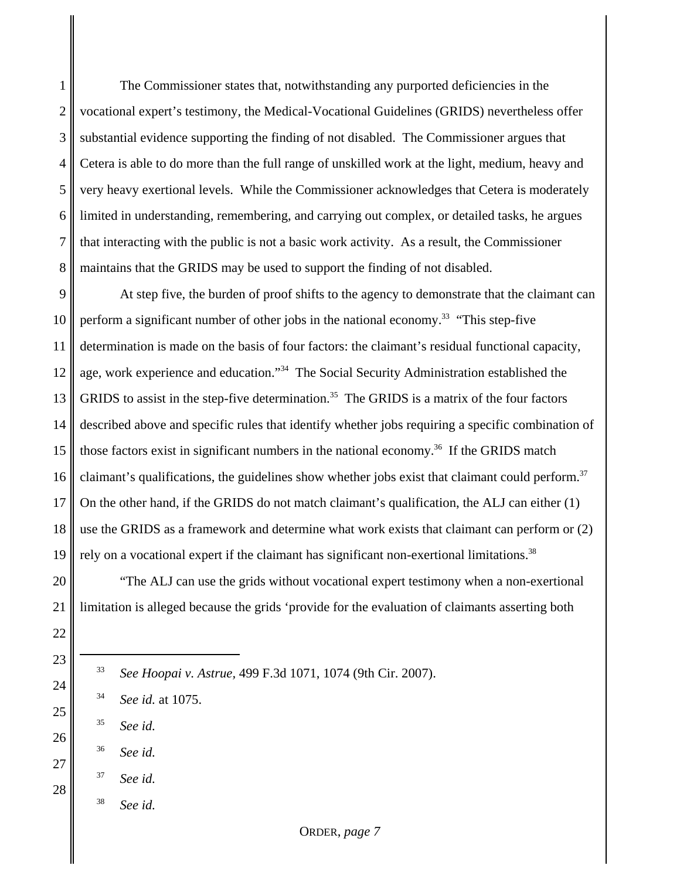The Commissioner states that, notwithstanding any purported deficiencies in the vocational expert's testimony, the Medical-Vocational Guidelines (GRIDS) nevertheless offer substantial evidence supporting the finding of not disabled. The Commissioner argues that Cetera is able to do more than the full range of unskilled work at the light, medium, heavy and very heavy exertional levels. While the Commissioner acknowledges that Cetera is moderately limited in understanding, remembering, and carrying out complex, or detailed tasks, he argues that interacting with the public is not a basic work activity. As a result, the Commissioner maintains that the GRIDS may be used to support the finding of not disabled.

 At step five, the burden of proof shifts to the agency to demonstrate that the claimant can perform a significant number of other jobs in the national economy.<sup>33</sup> "This step-five determination is made on the basis of four factors: the claimant's residual functional capacity, age, work experience and education."34 The Social Security Administration established the GRIDS to assist in the step-five determination.<sup>35</sup> The GRIDS is a matrix of the four factors described above and specific rules that identify whether jobs requiring a specific combination of those factors exist in significant numbers in the national economy.<sup>36</sup> If the GRIDS match claimant's qualifications, the guidelines show whether jobs exist that claimant could perform.<sup>37</sup> On the other hand, if the GRIDS do not match claimant's qualification, the ALJ can either (1) use the GRIDS as a framework and determine what work exists that claimant can perform or (2) rely on a vocational expert if the claimant has significant non-exertional limitations.<sup>38</sup>

"The ALJ can use the grids without vocational expert testimony when a non-exertional limitation is alleged because the grids 'provide for the evaluation of claimants asserting both

- *See Hoopai v. Astrue,* 499 F.3d 1071, 1074 (9th Cir. 2007).
- *See id.* at 1075.
- *See id.*
- *See id.*

- *See id.*
- *See id.*

ORDER, *page 7*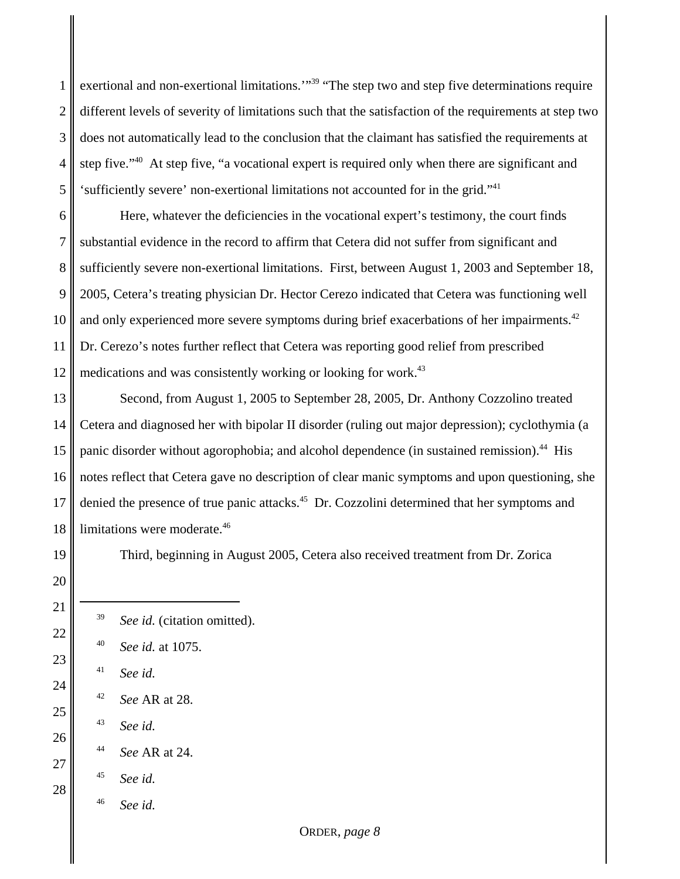exertional and non-exertional limitations."<sup>39</sup> "The step two and step five determinations require different levels of severity of limitations such that the satisfaction of the requirements at step two does not automatically lead to the conclusion that the claimant has satisfied the requirements at step five."<sup>40</sup> At step five, "a vocational expert is required only when there are significant and 'sufficiently severe' non-exertional limitations not accounted for in the grid."41

 Here, whatever the deficiencies in the vocational expert's testimony, the court finds substantial evidence in the record to affirm that Cetera did not suffer from significant and sufficiently severe non-exertional limitations. First, between August 1, 2003 and September 18, 2005, Cetera's treating physician Dr. Hector Cerezo indicated that Cetera was functioning well and only experienced more severe symptoms during brief exacerbations of her impairments.<sup>42</sup> Dr. Cerezo's notes further reflect that Cetera was reporting good relief from prescribed medications and was consistently working or looking for work.<sup>43</sup>

 Second, from August 1, 2005 to September 28, 2005, Dr. Anthony Cozzolino treated Cetera and diagnosed her with bipolar II disorder (ruling out major depression); cyclothymia (a panic disorder without agorophobia; and alcohol dependence (in sustained remission).<sup>44</sup> His notes reflect that Cetera gave no description of clear manic symptoms and upon questioning, she denied the presence of true panic attacks.<sup>45</sup> Dr. Cozzolini determined that her symptoms and limitations were moderate.<sup>46</sup>

Third, beginning in August 2005, Cetera also received treatment from Dr. Zorica

- *See id.* (citation omitted).
- *See id.* at 1075.
- *See id.*

- *See* AR at 28.
- *See id.*
- *See* AR at 24.
- *See id.*
- *See id.*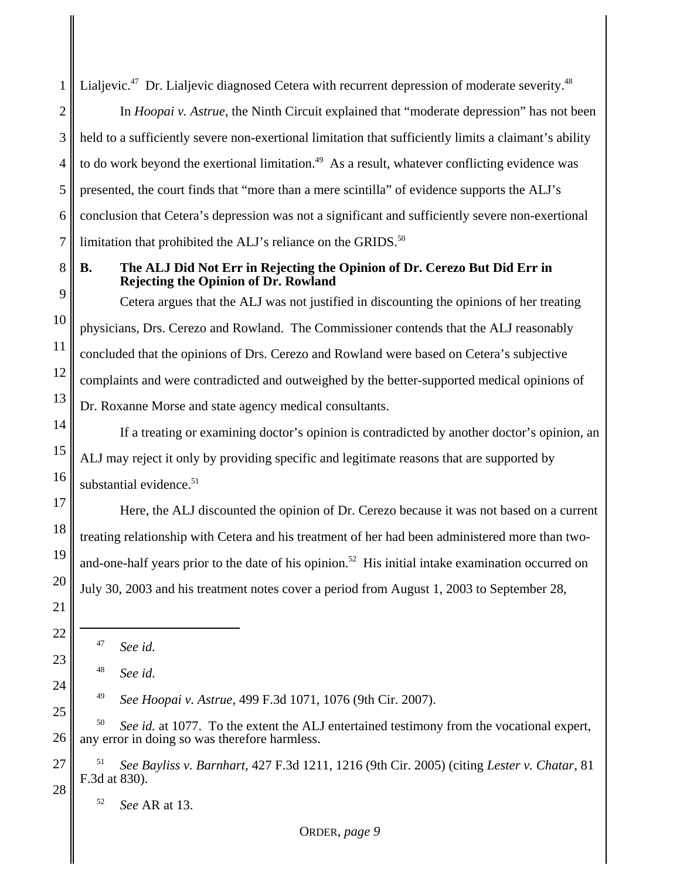1 Lialjevic.<sup>47</sup> Dr. Lialjevic diagnosed Cetera with recurrent depression of moderate severity.<sup>48</sup>

2 3 4 5 6 7 In *Hoopai v. Astrue,* the Ninth Circuit explained that "moderate depression" has not been held to a sufficiently severe non-exertional limitation that sufficiently limits a claimant's ability to do work beyond the exertional limitation.<sup>49</sup> As a result, whatever conflicting evidence was presented, the court finds that "more than a mere scintilla" of evidence supports the ALJ's conclusion that Cetera's depression was not a significant and sufficiently severe non-exertional limitation that prohibited the ALJ's reliance on the GRIDS.<sup>50</sup>

#### 8 9 **B. The ALJ Did Not Err in Rejecting the Opinion of Dr. Cerezo But Did Err in Rejecting the Opinion of Dr. Rowland**

Cetera argues that the ALJ was not justified in discounting the opinions of her treating physicians, Drs. Cerezo and Rowland. The Commissioner contends that the ALJ reasonably concluded that the opinions of Drs. Cerezo and Rowland were based on Cetera's subjective complaints and were contradicted and outweighed by the better-supported medical opinions of Dr. Roxanne Morse and state agency medical consultants.

If a treating or examining doctor's opinion is contradicted by another doctor's opinion, an ALJ may reject it only by providing specific and legitimate reasons that are supported by substantial evidence. $51$ 

Here, the ALJ discounted the opinion of Dr. Cerezo because it was not based on a current treating relationship with Cetera and his treatment of her had been administered more than twoand-one-half years prior to the date of his opinion.<sup>52</sup> His initial intake examination occurred on July 30, 2003 and his treatment notes cover a period from August 1, 2003 to September 28,

10

11

12

13

14

15

16

17

18

19

20

21

22

23

24

25

27

28

48 *See id.*

49 *See Hoopai v. Astrue,* 499 F.3d 1071, 1076 (9th Cir. 2007).

26 See id. at 1077. To the extent the ALJ entertained testimony from the vocational expert, any error in doing so was therefore harmless.

 51 *See Bayliss v. Barnhart,* 427 F.3d 1211, 1216 (9th Cir. 2005) (citing *Lester v. Chatar,* 81 F.3d at 830).

52 *See* AR at 13.

 <sup>47</sup> *See id.*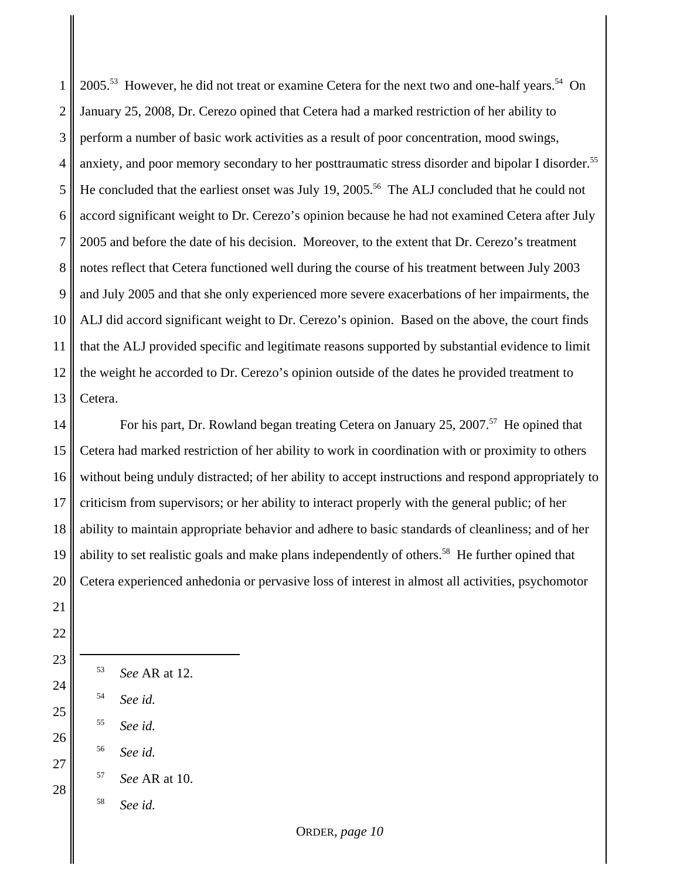2005.<sup>53</sup> However, he did not treat or examine Cetera for the next two and one-half years.<sup>54</sup> On January 25, 2008, Dr. Cerezo opined that Cetera had a marked restriction of her ability to perform a number of basic work activities as a result of poor concentration, mood swings, anxiety, and poor memory secondary to her posttraumatic stress disorder and bipolar I disorder.<sup>55</sup> He concluded that the earliest onset was July 19, 2005.<sup>56</sup> The ALJ concluded that he could not accord significant weight to Dr. Cerezo's opinion because he had not examined Cetera after July 2005 and before the date of his decision. Moreover, to the extent that Dr. Cerezo's treatment notes reflect that Cetera functioned well during the course of his treatment between July 2003 and July 2005 and that she only experienced more severe exacerbations of her impairments, the ALJ did accord significant weight to Dr. Cerezo's opinion. Based on the above, the court finds that the ALJ provided specific and legitimate reasons supported by substantial evidence to limit the weight he accorded to Dr. Cerezo's opinion outside of the dates he provided treatment to Cetera.

 For his part, Dr. Rowland began treating Cetera on January 25, 2007.<sup>57</sup> He opined that Cetera had marked restriction of her ability to work in coordination with or proximity to others without being unduly distracted; of her ability to accept instructions and respond appropriately to criticism from supervisors; or her ability to interact properly with the general public; of her ability to maintain appropriate behavior and adhere to basic standards of cleanliness; and of her ability to set realistic goals and make plans independently of others.<sup>58</sup> He further opined that Cetera experienced anhedonia or pervasive loss of interest in almost all activities, psychomotor

- *See* AR at 12.
- *See id.*

- *See id.*
- *See id.*
	- *See* AR at 10.
	- *See id.*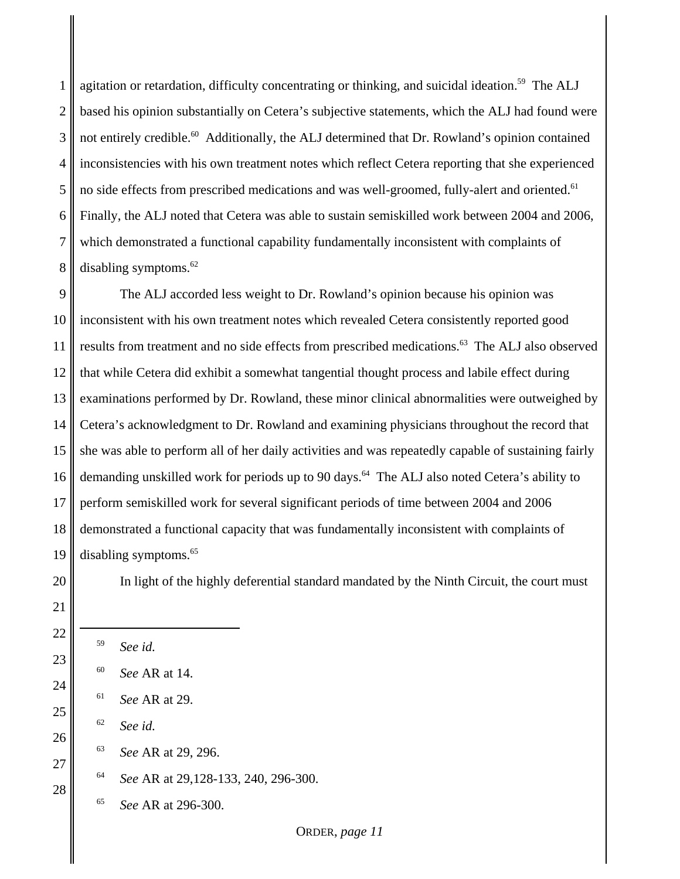agitation or retardation, difficulty concentrating or thinking, and suicidal ideation.<sup>59</sup> The ALJ based his opinion substantially on Cetera's subjective statements, which the ALJ had found were not entirely credible.<sup>60</sup> Additionally, the ALJ determined that Dr. Rowland's opinion contained inconsistencies with his own treatment notes which reflect Cetera reporting that she experienced no side effects from prescribed medications and was well-groomed, fully-alert and oriented.<sup>61</sup> Finally, the ALJ noted that Cetera was able to sustain semiskilled work between 2004 and 2006, which demonstrated a functional capability fundamentally inconsistent with complaints of disabling symptoms.

 The ALJ accorded less weight to Dr. Rowland's opinion because his opinion was inconsistent with his own treatment notes which revealed Cetera consistently reported good results from treatment and no side effects from prescribed medications.<sup>63</sup> The ALJ also observed that while Cetera did exhibit a somewhat tangential thought process and labile effect during examinations performed by Dr. Rowland, these minor clinical abnormalities were outweighed by Cetera's acknowledgment to Dr. Rowland and examining physicians throughout the record that she was able to perform all of her daily activities and was repeatedly capable of sustaining fairly demanding unskilled work for periods up to 90 days.<sup>64</sup> The ALJ also noted Cetera's ability to perform semiskilled work for several significant periods of time between 2004 and 2006 demonstrated a functional capacity that was fundamentally inconsistent with complaints of disabling symptoms.<sup>65</sup>

In light of the highly deferential standard mandated by the Ninth Circuit, the court must

- *See* AR at 29,128-133, 240, 296-300.
- *See* AR at 296-300.

ORDER, *page 11*

 *See id. See* AR at 14. *See* AR at 29. *See id. See* AR at 29, 296.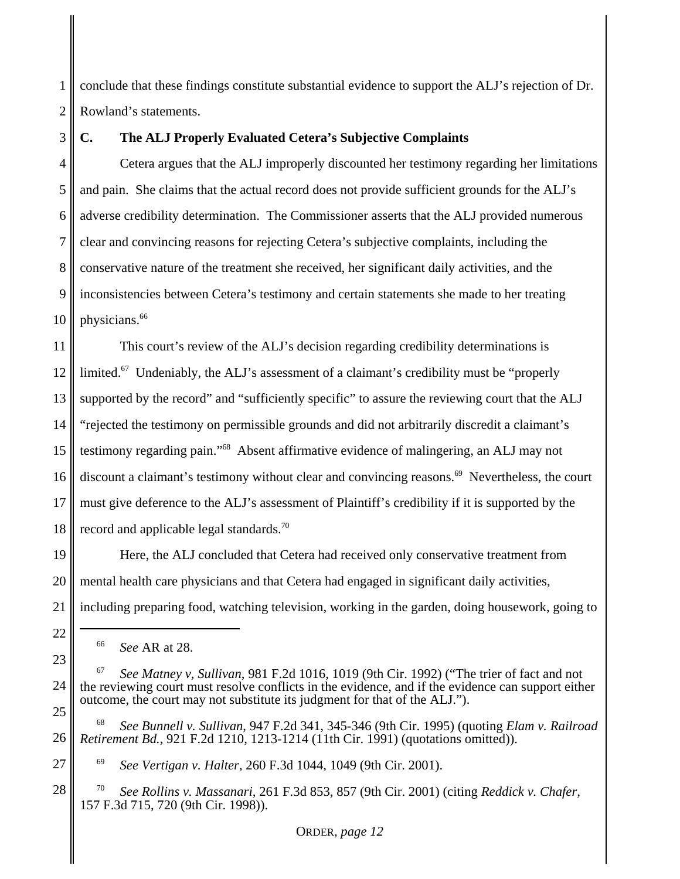1 2 conclude that these findings constitute substantial evidence to support the ALJ's rejection of Dr. Rowland's statements.

3

# **C. The ALJ Properly Evaluated Cetera's Subjective Complaints**

4 5 6 7 8 9 10 Cetera argues that the ALJ improperly discounted her testimony regarding her limitations and pain. She claims that the actual record does not provide sufficient grounds for the ALJ's adverse credibility determination. The Commissioner asserts that the ALJ provided numerous clear and convincing reasons for rejecting Cetera's subjective complaints, including the conservative nature of the treatment she received, her significant daily activities, and the inconsistencies between Cetera's testimony and certain statements she made to her treating physicians.<sup>66</sup>

11 12 13 14 15 16 17 18 This court's review of the ALJ's decision regarding credibility determinations is limited.<sup>67</sup> Undeniably, the ALJ's assessment of a claimant's credibility must be "properly supported by the record" and "sufficiently specific" to assure the reviewing court that the ALJ "rejected the testimony on permissible grounds and did not arbitrarily discredit a claimant's testimony regarding pain."68 Absent affirmative evidence of malingering, an ALJ may not discount a claimant's testimony without clear and convincing reasons.<sup>69</sup> Nevertheless, the court must give deference to the ALJ's assessment of Plaintiff's credibility if it is supported by the record and applicable legal standards.<sup>70</sup>

19 20 21 Here, the ALJ concluded that Cetera had received only conservative treatment from mental health care physicians and that Cetera had engaged in significant daily activities, including preparing food, watching television, working in the garden, doing housework, going to

22

23

24

25

26

27

69 *See Vertigan v. Halter,* 260 F.3d 1044, 1049 (9th Cir. 2001).

28 70 *See Rollins v. Massanari,* 261 F.3d 853, 857 (9th Cir. 2001) (citing *Reddick v. Chafer,* 157 F.3d 715, 720 (9th Cir. 1998)).

 <sup>66</sup> *See* AR at 28.

 <sup>67</sup> *See Matney v, Sullivan,* 981 F.2d 1016, 1019 (9th Cir. 1992) ("The trier of fact and not the reviewing court must resolve conflicts in the evidence, and if the evidence can support either outcome, the court may not substitute its judgment for that of the ALJ.").

 <sup>68</sup> *See Bunnell v. Sullivan*, 947 F.2d 341, 345-346 (9th Cir. 1995) (quoting *Elam v. Railroad Retirement Bd.,* 921 F.2d 1210, 1213-1214 (11th Cir. 1991) (quotations omitted)).